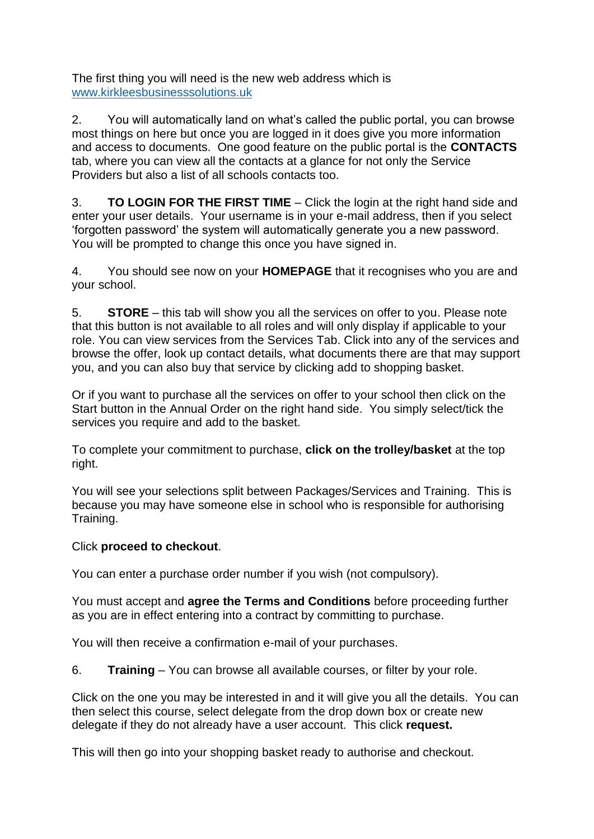The first thing you will need is the new web address which is [www.kirkleesbusinesssolutions.uk](http://www.kirkleesbusinesssolutions.uk/)

2. You will automatically land on what's called the public portal, you can browse most things on here but once you are logged in it does give you more information and access to documents. One good feature on the public portal is the **CONTACTS** tab, where you can view all the contacts at a glance for not only the Service Providers but also a list of all schools contacts too.

3. **TO LOGIN FOR THE FIRST TIME** – Click the login at the right hand side and enter your user details. Your username is in your e-mail address, then if you select 'forgotten password' the system will automatically generate you a new password. You will be prompted to change this once you have signed in.

4. You should see now on your **HOMEPAGE** that it recognises who you are and your school.

5. **STORE** – this tab will show you all the services on offer to you. Please note that this button is not available to all roles and will only display if applicable to your role. You can view services from the Services Tab. Click into any of the services and browse the offer, look up contact details, what documents there are that may support you, and you can also buy that service by clicking add to shopping basket.

Or if you want to purchase all the services on offer to your school then click on the Start button in the Annual Order on the right hand side. You simply select/tick the services you require and add to the basket.

To complete your commitment to purchase, **click on the trolley/basket** at the top right.

You will see your selections split between Packages/Services and Training. This is because you may have someone else in school who is responsible for authorising Training.

## Click **proceed to checkout**.

You can enter a purchase order number if you wish (not compulsory).

You must accept and **agree the Terms and Conditions** before proceeding further as you are in effect entering into a contract by committing to purchase.

You will then receive a confirmation e-mail of your purchases.

6. **Training** – You can browse all available courses, or filter by your role.

Click on the one you may be interested in and it will give you all the details. You can then select this course, select delegate from the drop down box or create new delegate if they do not already have a user account. This click **request.**

This will then go into your shopping basket ready to authorise and checkout.